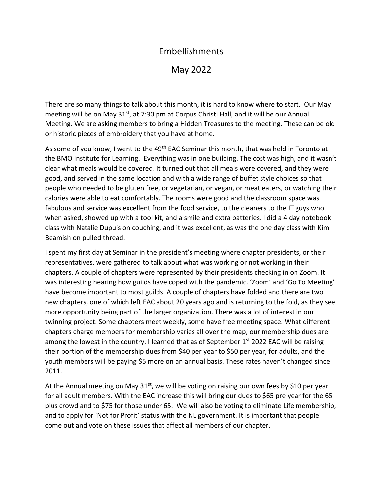## Embellishments

## May 2022

There are so many things to talk about this month, it is hard to know where to start. Our May meeting will be on May 31<sup>st</sup>, at 7:30 pm at Corpus Christi Hall, and it will be our Annual Meeting. We are asking members to bring a Hidden Treasures to the meeting. These can be old or historic pieces of embroidery that you have at home.

As some of you know, I went to the 49<sup>th</sup> EAC Seminar this month, that was held in Toronto at the BMO Institute for Learning. Everything was in one building. The cost was high, and it wasn't clear what meals would be covered. It turned out that all meals were covered, and they were good, and served in the same location and with a wide range of buffet style choices so that people who needed to be gluten free, or vegetarian, or vegan, or meat eaters, or watching their calories were able to eat comfortably. The rooms were good and the classroom space was fabulous and service was excellent from the food service, to the cleaners to the IT guys who when asked, showed up with a tool kit, and a smile and extra batteries. I did a 4 day notebook class with Natalie Dupuis on couching, and it was excellent, as was the one day class with Kim Beamish on pulled thread.

I spent my first day at Seminar in the president's meeting where chapter presidents, or their representatives, were gathered to talk about what was working or not working in their chapters. A couple of chapters were represented by their presidents checking in on Zoom. It was interesting hearing how guilds have coped with the pandemic. 'Zoom' and 'Go To Meeting' have become important to most guilds. A couple of chapters have folded and there are two new chapters, one of which left EAC about 20 years ago and is returning to the fold, as they see more opportunity being part of the larger organization. There was a lot of interest in our twinning project. Some chapters meet weekly, some have free meeting space. What different chapters charge members for membership varies all over the map, our membership dues are among the lowest in the country. I learned that as of September  $1<sup>st</sup>$  2022 EAC will be raising their portion of the membership dues from \$40 per year to \$50 per year, for adults, and the youth members will be paying \$5 more on an annual basis. These rates haven't changed since 2011.

At the Annual meeting on May  $31^{st}$ , we will be voting on raising our own fees by \$10 per year for all adult members. With the EAC increase this will bring our dues to \$65 pre year for the 65 plus crowd and to \$75 for those under 65. We will also be voting to eliminate Life membership, and to apply for 'Not for Profit' status with the NL government. It is important that people come out and vote on these issues that affect all members of our chapter.